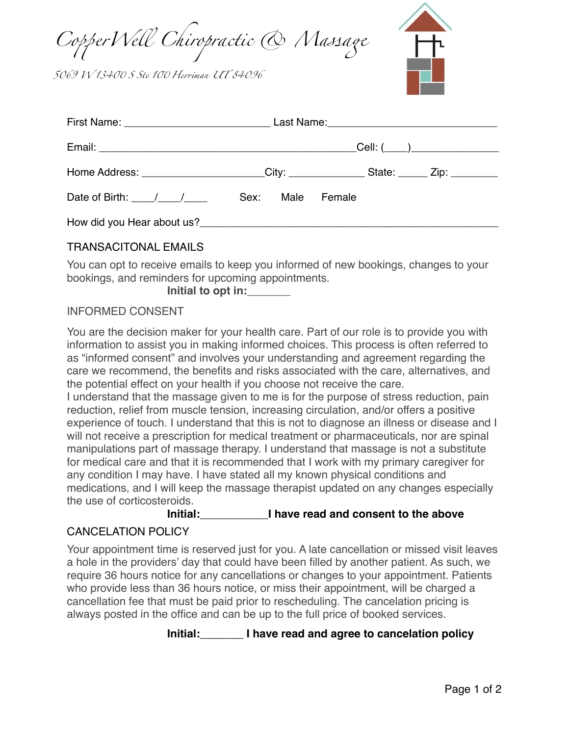*Co*p*erWe*l *Chiropractic & Ma*s*a*g

*5069 W 134*0 *S Ste 1*0 *Her*r*man UT 84096*



| Home Address: _______________________City: _______________State: ______ Zip: _________ |  |  |  |
|----------------------------------------------------------------------------------------|--|--|--|
| Date of Birth: 1 1 1 Sex: Male Female                                                  |  |  |  |
|                                                                                        |  |  |  |

## TRANSACITONAL EMAILS

You can opt to receive emails to keep you informed of new bookings, changes to your bookings, and reminders for upcoming appointments.

**Initial to opt in:\_\_\_\_\_\_\_**

## INFORMED CONSENT

You are the decision maker for your health care. Part of our role is to provide you with information to assist you in making informed choices. This process is often referred to as "informed consent" and involves your understanding and agreement regarding the care we recommend, the benefits and risks associated with the care, alternatives, and the potential effect on your health if you choose not receive the care.

I understand that the massage given to me is for the purpose of stress reduction, pain reduction, relief from muscle tension, increasing circulation, and/or offers a positive experience of touch. I understand that this is not to diagnose an illness or disease and I will not receive a prescription for medical treatment or pharmaceuticals, nor are spinal manipulations part of massage therapy. I understand that massage is not a substitute for medical care and that it is recommended that I work with my primary caregiver for any condition I may have. I have stated all my known physical conditions and medications, and I will keep the massage therapist updated on any changes especially the use of corticosteroids.

## **Initial:\_\_\_\_\_\_\_\_\_\_\_I have read and consent to the above**

## CANCELATION POLICY

Your appointment time is reserved just for you. A late cancellation or missed visit leaves a hole in the providers' day that could have been filled by another patient. As such, we require 36 hours notice for any cancellations or changes to your appointment. Patients who provide less than 36 hours notice, or miss their appointment, will be charged a cancellation fee that must be paid prior to rescheduling. The cancelation pricing is always posted in the office and can be up to the full price of booked services.

**Initial:\_\_\_\_\_\_\_ I have read and agree to cancelation policy**